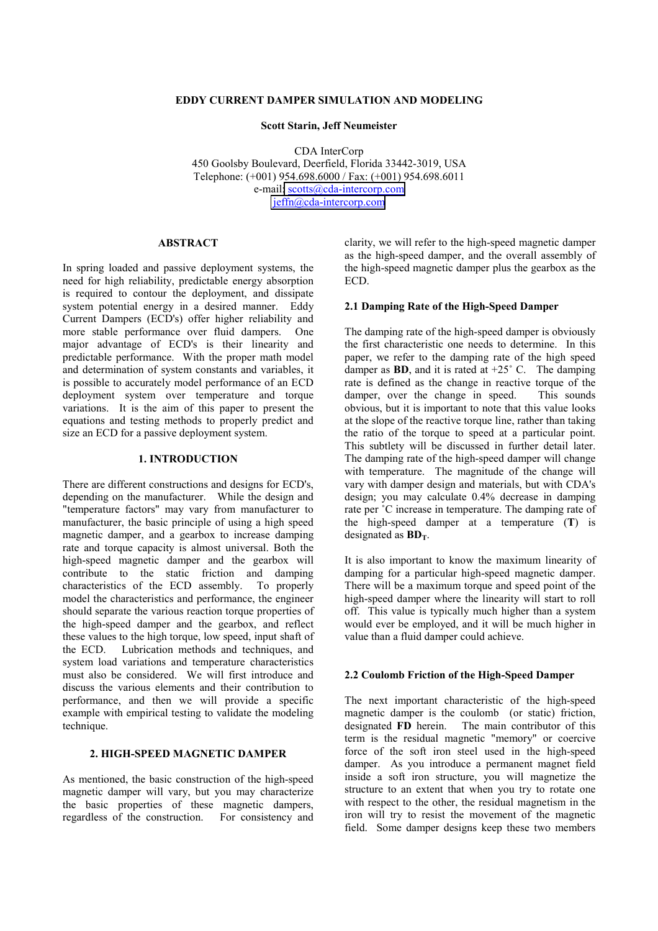## **EDDY CURRENT DAMPER SIMULATION AND MODELING**

#### **Scott Starin, Jeff Neumeister**

CDA InterCorp 450 Goolsby Boulevard, Deerfield, Florida 33442-3019, USA Telephone: (+001) 954.698.6000 / Fax: (+001) 954.698.6011 e-mail[: scotts@cda-intercorp.com](mailto:sstarin@cda-intercorp.com) [jeffn@cda-intercorp.com](mailto:jeffn@cda-intercorp.com)

## **ABSTRACT**

In spring loaded and passive deployment systems, the need for high reliability, predictable energy absorption is required to contour the deployment, and dissipate system potential energy in a desired manner. Eddy Current Dampers (ECD's) offer higher reliability and more stable performance over fluid dampers. One major advantage of ECD's is their linearity and predictable performance. With the proper math model and determination of system constants and variables, it is possible to accurately model performance of an ECD deployment system over temperature and torque variations. It is the aim of this paper to present the equations and testing methods to properly predict and size an ECD for a passive deployment system.

#### **1. INTRODUCTION**

There are different constructions and designs for ECD's, depending on the manufacturer. While the design and "temperature factors" may vary from manufacturer to manufacturer, the basic principle of using a high speed magnetic damper, and a gearbox to increase damping rate and torque capacity is almost universal. Both the high-speed magnetic damper and the gearbox will contribute to the static friction and damping characteristics of the ECD assembly. To properly model the characteristics and performance, the engineer should separate the various reaction torque properties of the high-speed damper and the gearbox, and reflect these values to the high torque, low speed, input shaft of the ECD. Lubrication methods and techniques, and system load variations and temperature characteristics must also be considered. We will first introduce and discuss the various elements and their contribution to performance, and then we will provide a specific example with empirical testing to validate the modeling technique.

#### **2. HIGH-SPEED MAGNETIC DAMPER**

As mentioned, the basic construction of the high-speed magnetic damper will vary, but you may characterize the basic properties of these magnetic dampers, regardless of the construction. For consistency and clarity, we will refer to the high-speed magnetic damper as the high-speed damper, and the overall assembly of the high-speed magnetic damper plus the gearbox as the ECD.

#### **2.1 Damping Rate of the High-Speed Damper**

The damping rate of the high-speed damper is obviously the first characteristic one needs to determine. In this paper, we refer to the damping rate of the high speed damper as **BD**, and it is rated at  $+25^{\circ}$  C. The damping rate is defined as the change in reactive torque of the damper, over the change in speed. This sounds obvious, but it is important to note that this value looks at the slope of the reactive torque line, rather than taking the ratio of the torque to speed at a particular point. This subtlety will be discussed in further detail later. The damping rate of the high-speed damper will change with temperature. The magnitude of the change will vary with damper design and materials, but with CDA's design; you may calculate 0.4% decrease in damping rate per ˚C increase in temperature. The damping rate of the high-speed damper at a temperature (**T**) is designated as  $BD<sub>T</sub>$ .

It is also important to know the maximum linearity of damping for a particular high-speed magnetic damper. There will be a maximum torque and speed point of the high-speed damper where the linearity will start to roll off. This value is typically much higher than a system would ever be employed, and it will be much higher in value than a fluid damper could achieve.

#### **2.2 Coulomb Friction of the High-Speed Damper**

The next important characteristic of the high-speed magnetic damper is the coulomb (or static) friction, designated **FD** herein. The main contributor of this term is the residual magnetic "memory" or coercive force of the soft iron steel used in the high-speed damper. As you introduce a permanent magnet field inside a soft iron structure, you will magnetize the structure to an extent that when you try to rotate one with respect to the other, the residual magnetism in the iron will try to resist the movement of the magnetic field. Some damper designs keep these two members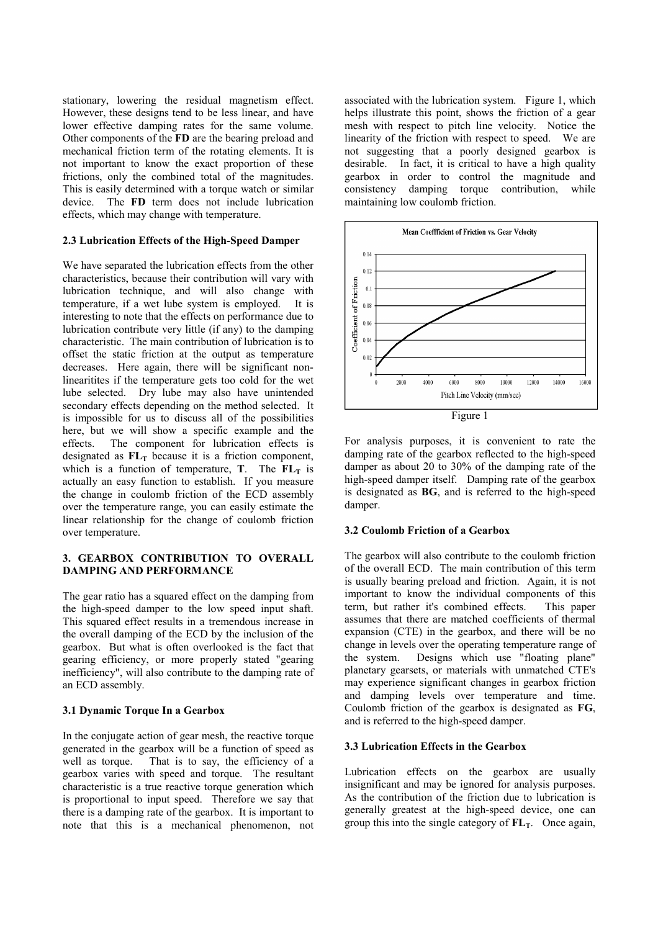stationary, lowering the residual magnetism effect. However, these designs tend to be less linear, and have lower effective damping rates for the same volume. Other components of the **FD** are the bearing preload and mechanical friction term of the rotating elements. It is not important to know the exact proportion of these frictions, only the combined total of the magnitudes. This is easily determined with a torque watch or similar device. The **FD** term does not include lubrication effects, which may change with temperature.

## **2.3 Lubrication Effects of the High-Speed Damper**

We have separated the lubrication effects from the other characteristics, because their contribution will vary with lubrication technique, and will also change with temperature, if a wet lube system is employed. It is interesting to note that the effects on performance due to lubrication contribute very little (if any) to the damping characteristic. The main contribution of lubrication is to offset the static friction at the output as temperature decreases. Here again, there will be significant nonlinearitites if the temperature gets too cold for the wet lube selected. Dry lube may also have unintended secondary effects depending on the method selected. It is impossible for us to discuss all of the possibilities here, but we will show a specific example and the effects. The component for lubrication effects is designated as  $FL<sub>T</sub>$  because it is a friction component, which is a function of temperature, **T**. The  $FL_T$  is actually an easy function to establish. If you measure the change in coulomb friction of the ECD assembly over the temperature range, you can easily estimate the linear relationship for the change of coulomb friction over temperature.

## **3. GEARBOX CONTRIBUTION TO OVERALL DAMPING AND PERFORMANCE**

The gear ratio has a squared effect on the damping from the high-speed damper to the low speed input shaft. This squared effect results in a tremendous increase in the overall damping of the ECD by the inclusion of the gearbox. But what is often overlooked is the fact that gearing efficiency, or more properly stated "gearing inefficiency", will also contribute to the damping rate of an ECD assembly.

## **3.1 Dynamic Torque In a Gearbox**

In the conjugate action of gear mesh, the reactive torque generated in the gearbox will be a function of speed as well as torque. That is to say, the efficiency of a gearbox varies with speed and torque. The resultant characteristic is a true reactive torque generation which is proportional to input speed. Therefore we say that there is a damping rate of the gearbox. It is important to note that this is a mechanical phenomenon, not associated with the lubrication system. Figure 1, which helps illustrate this point, shows the friction of a gear mesh with respect to pitch line velocity. Notice the linearity of the friction with respect to speed. We are not suggesting that a poorly designed gearbox is desirable. In fact, it is critical to have a high quality gearbox in order to control the magnitude and consistency damping torque contribution, while maintaining low coulomb friction.



Figure 1

For analysis purposes, it is convenient to rate the damping rate of the gearbox reflected to the high-speed damper as about 20 to 30% of the damping rate of the high-speed damper itself. Damping rate of the gearbox is designated as **BG**, and is referred to the high-speed damper

## **3.2 Coulomb Friction of a Gearbox**

The gearbox will also contribute to the coulomb friction of the overall ECD. The main contribution of this term is usually bearing preload and friction. Again, it is not important to know the individual components of this term, but rather it's combined effects. This paper assumes that there are matched coefficients of thermal expansion (CTE) in the gearbox, and there will be no change in levels over the operating temperature range of the system. Designs which use "floating plane" planetary gearsets, or materials with unmatched CTE's may experience significant changes in gearbox friction and damping levels over temperature and time. Coulomb friction of the gearbox is designated as **FG**, and is referred to the high-speed damper.

## **3.3 Lubrication Effects in the Gearbox**

Lubrication effects on the gearbox are usually insignificant and may be ignored for analysis purposes. As the contribution of the friction due to lubrication is generally greatest at the high-speed device, one can group this into the single category of  $FL_T$ . Once again,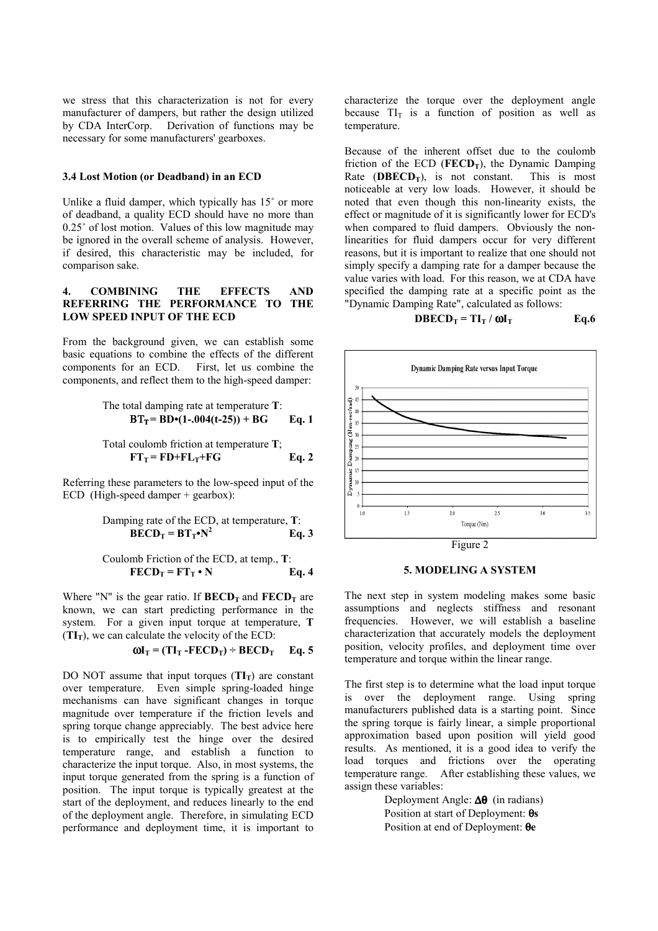we stress that this characterization is not for every manufacturer of dampers, but rather the design utilized by CDA InterCorp. Derivation of functions may be necessary for some manufacturers' gearboxes.

## **3.4 Lost Motion (or Deadband) in an ECD**

Unlike a fluid damper, which typically has 15˚ or more of deadband, a quality ECD should have no more than 0.25˚ of lost motion. Values of this low magnitude may be ignored in the overall scheme of analysis. However, if desired, this characteristic may be included, for comparison sake.

## **4. COMBINING THE EFFECTS AND REFERRING THE PERFORMANCE TO THE LOW SPEED INPUT OF THE ECD**

From the background given, we can establish some basic equations to combine the effects of the different components for an ECD. First, let us combine the First, let us combine the components, and reflect them to the high-speed damper:

The total damping rate at temperature T:  

$$
BT_T = BD \cdot (1-.004(t-25)) + BG \qquad Eq. 1
$$

Total coulomb friction at temperature T;  

$$
FT_T = FD + FL_T + FG
$$
 Eq. 2

Referring these parameters to the low-speed input of the ECD (High-speed damper + gearbox):

Damping rate of the ECD, at temperature, T:  

$$
BECD_T = BT_T N^2
$$
 Eq. 3

Coulomb Friction of the ECD, at temp., **T**: **FECDT = FTT • N Eq. 4**

Where "N" is the gear ratio. If  $\mathbf{BECD}_{T}$  and  $\mathbf{FECD}_{T}$  are known, we can start predicting performance in the system. For a given input torque at temperature, **T**  $(TI_T)$ , we can calculate the velocity of the ECD:

$$
\omega I_T = (TI_T - FECD_T) \div BECD_T \qquad Eq. 5
$$

DO NOT assume that input torques  $(TI_T)$  are constant over temperature. Even simple spring-loaded hinge mechanisms can have significant changes in torque magnitude over temperature if the friction levels and spring torque change appreciably. The best advice here is to empirically test the hinge over the desired temperature range, and establish a function to characterize the input torque. Also, in most systems, the input torque generated from the spring is a function of position. The input torque is typically greatest at the start of the deployment, and reduces linearly to the end of the deployment angle. Therefore, in simulating ECD performance and deployment time, it is important to

characterize the torque over the deployment angle because  $TI_T$  is a function of position as well as temperature.

Because of the inherent offset due to the coulomb friction of the ECD (**FECD**<sub>T</sub>), the Dynamic Damping<br>Rate (**DBECD**<sub>T</sub>), is not constant. This is most Rate  $(\mathbf{DBECD}_T)$ , is not constant. noticeable at very low loads. However, it should be noted that even though this non-linearity exists, the effect or magnitude of it is significantly lower for ECD's when compared to fluid dampers. Obviously the nonlinearities for fluid dampers occur for very different reasons, but it is important to realize that one should not simply specify a damping rate for a damper because the value varies with load. For this reason, we at CDA have specified the damping rate at a specific point as the "Dynamic Damping Rate", calculated as follows:

$$
\mathbf{D} \mathbf{B} \mathbf{E} \mathbf{C} \mathbf{D}_{\mathrm{T}} = \mathbf{T} \mathbf{I}_{\mathrm{T}} / \mathbf{\omega} \mathbf{I}_{\mathrm{T}}
$$
 Eq.6



#### **5. MODELING A SYSTEM**

The next step in system modeling makes some basic assumptions and neglects stiffness and resonant frequencies. However, we will establish a baseline characterization that accurately models the deployment position, velocity profiles, and deployment time over temperature and torque within the linear range.

The first step is to determine what the load input torque is over the deployment range. Using spring manufacturers published data is a starting point. Since the spring torque is fairly linear, a simple proportional approximation based upon position will yield good results. As mentioned, it is a good idea to verify the load torques and frictions over the operating temperature range. After establishing these values, we assign these variables:

> Deployment Angle: ∆θ(in radians) Position at start of Deployment: θ**s** Position at end of Deployment: θ**e**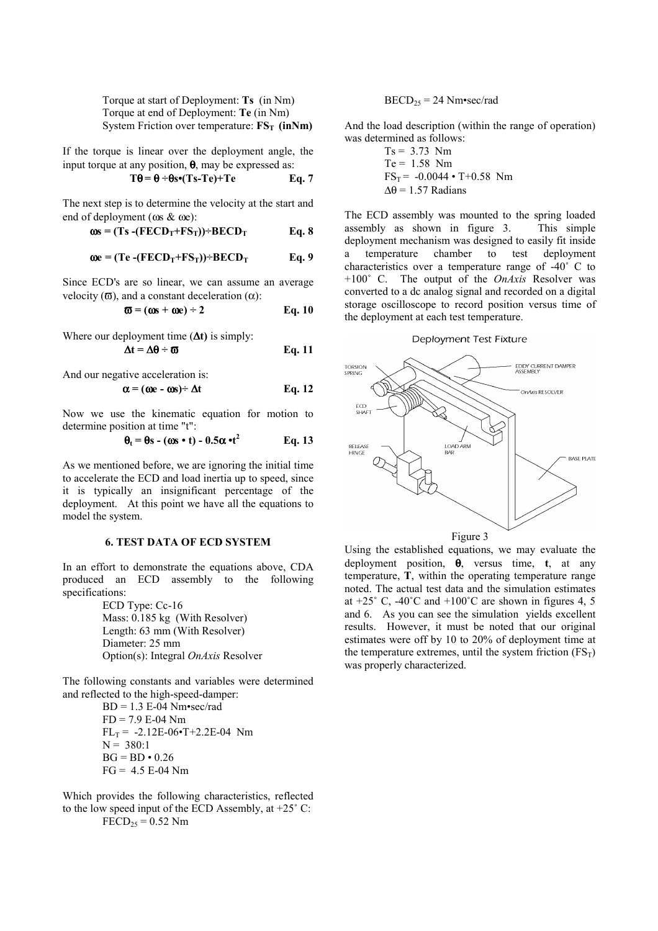Torque at start of Deployment: **Ts** (in Nm) Torque at end of Deployment: **Te** (in Nm) System Friction over temperature:  $FS_T$  (inNm)

If the torque is linear over the deployment angle, the input torque at any position,  $\theta$ , may be expressed as:

$$
T\Theta = \Theta \div \Theta s \bullet (Ts-Te) + Te \qquad Eq. 7
$$

The next step is to determine the velocity at the start and end of deployment (ωs & ωe):

$$
\omega s = (Ts - (FECD_T + FS_T)) \div BECD_T
$$
 Eq. 8

$$
\omega e = (Te - (FECD_T + FS_T)) \div BECD_T
$$
 Eq. 9

Since ECD's are so linear, we can assume an average velocity ( $\sigma$ ), and a constant deceleration ( $\alpha$ ):

$$
\overline{\omega} = (\omega s + \omega e) \div 2 \qquad \text{Eq. 10}
$$

Where our deployment time (∆**t)** is simply:

$$
\Delta t = \Delta \theta \div \varpi
$$
 Eq. 11

And our negative acceleration is:

$$
\alpha = (\omega e - \omega s) \div \Delta t \qquad \qquad Eq. 12
$$

Now we use the kinematic equation for motion to determine position at time "t":

$$
\theta_t = \theta s - (\omega s \cdot t) - 0.5\alpha \cdot t^2
$$
 Eq. 13

As we mentioned before, we are ignoring the initial time to accelerate the ECD and load inertia up to speed, since it is typically an insignificant percentage of the deployment. At this point we have all the equations to model the system.

# **6. TEST DATA OF ECD SYSTEM**

In an effort to demonstrate the equations above, CDA produced an ECD assembly to the following specifications:

> ECD Type: Cc-16 Mass: 0.185 kg (With Resolver) Length: 63 mm (With Resolver) Diameter: 25 mm Option(s): Integral *OnAxis* Resolver

The following constants and variables were determined and reflected to the high-speed-damper:

> BD = 1.3 E-04 Nm•sec/rad  $FD = 7.9 E-04 Nm$  $FL_T = -2.12E-06$ •T+2.2E-04 Nm  $N = 380:1$  $BG = BD \cdot 0.26$  $FG = 4.5 E-04 Nm$

Which provides the following characteristics, reflected to the low speed input of the ECD Assembly, at  $+25^{\circ}$  C:  $\vec{FECD}_{25} = 0.52$  Nm

#### $BECD_{25} = 24$  Nm•sec/rad

And the load description (within the range of operation) was determined as follows:

$$
Ts = 3.73 \text{ Nm}
$$
  
Te = 1.58 Nm  
FS<sub>T</sub> = -0.0044 • T+0.58 Nm  
Δθ = 1.57 Radians

The ECD assembly was mounted to the spring loaded assembly as shown in figure 3. This simple deployment mechanism was designed to easily fit inside a temperature chamber to test deployment characteristics over a temperature range of -40˚ C to +100˚ C. The output of the *OnAxis* Resolver was converted to a dc analog signal and recorded on a digital storage oscilloscope to record position versus time of the deployment at each test temperature.

#### Deployment Test Fixture



Using the established equations, we may evaluate the deployment position, θ, versus time, **t**, at any temperature, **T**, within the operating temperature range noted. The actual test data and the simulation estimates at  $+25^{\circ}$  C,  $-40^{\circ}$ C and  $+100^{\circ}$ C are shown in figures 4, 5 and 6. As you can see the simulation yields excellent results. However, it must be noted that our original estimates were off by 10 to 20% of deployment time at the temperature extremes, until the system friction  $(FS_T)$ was properly characterized.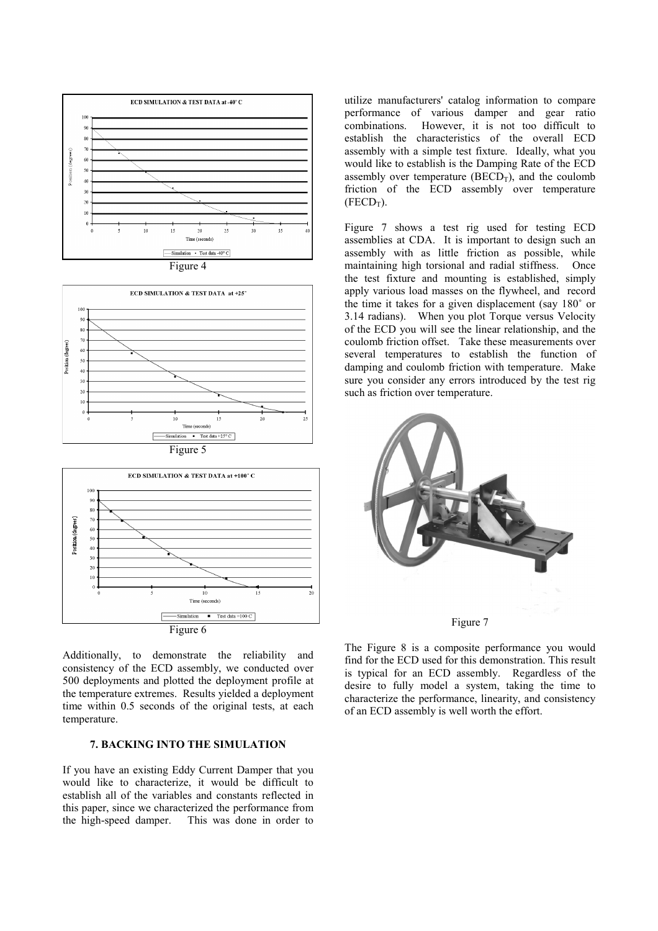









Additionally, to demonstrate the reliability and consistency of the ECD assembly, we conducted over 500 deployments and plotted the deployment profile at the temperature extremes. Results yielded a deployment time within 0.5 seconds of the original tests, at each temperature.

## **7. BACKING INTO THE SIMULATION**

If you have an existing Eddy Current Damper that you would like to characterize, it would be difficult to establish all of the variables and constants reflected in this paper, since we characterized the performance from the high-speed damper. This was done in order to utilize manufacturers' catalog information to compare performance of various damper and gear ratio combinations. However, it is not too difficult to establish the characteristics of the overall ECD assembly with a simple test fixture. Ideally, what you would like to establish is the Damping Rate of the ECD assembly over temperature  $(BECD_T)$ , and the coulomb friction of the ECD assembly over temperature  $(FECD_T)$ .

Figure 7 shows a test rig used for testing ECD assemblies at CDA. It is important to design such an assembly with as little friction as possible, while maintaining high torsional and radial stiffness. Once the test fixture and mounting is established, simply apply various load masses on the flywheel, and record the time it takes for a given displacement (say 180˚ or 3.14 radians). When you plot Torque versus Velocity of the ECD you will see the linear relationship, and the coulomb friction offset. Take these measurements over several temperatures to establish the function of damping and coulomb friction with temperature. Make sure you consider any errors introduced by the test rig such as friction over temperature.



The Figure 8 is a composite performance you would find for the ECD used for this demonstration. This result is typical for an ECD assembly. Regardless of the desire to fully model a system, taking the time to characterize the performance, linearity, and consistency of an ECD assembly is well worth the effort.